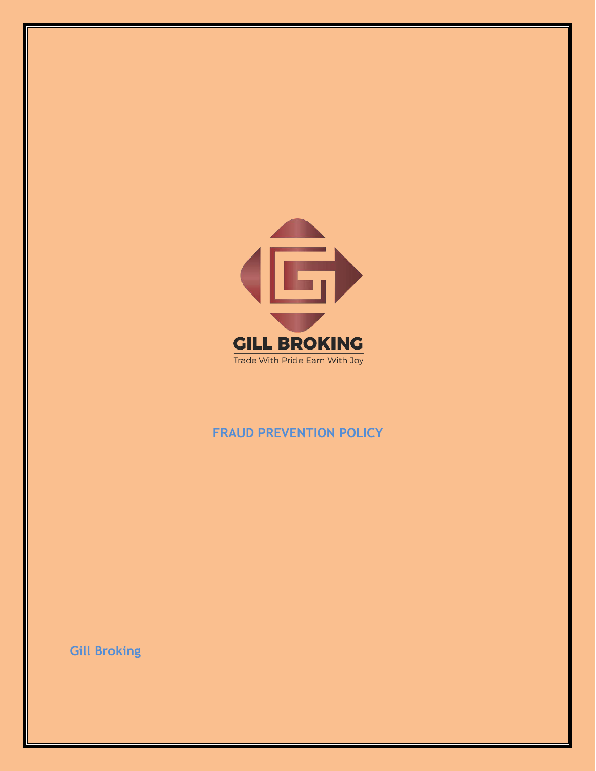

## **FRAUD PREVENTION POLICY**

**Gill Broking**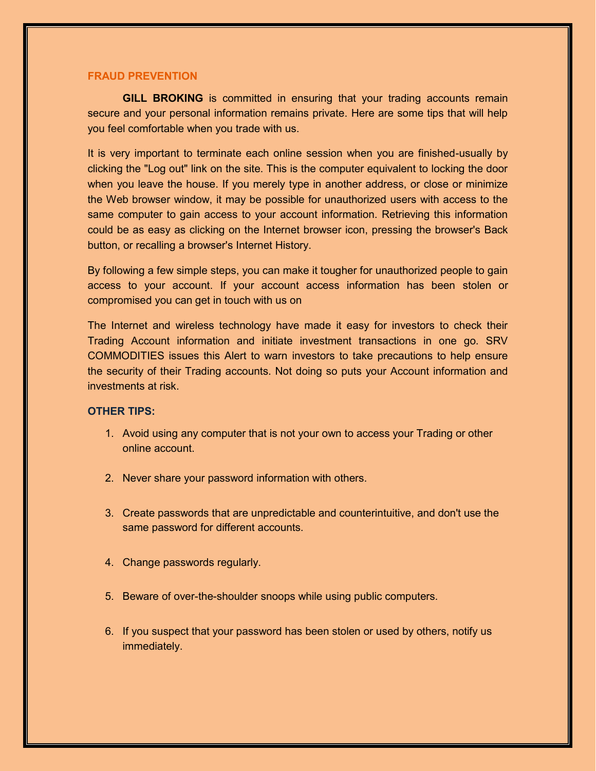## **FRAUD PREVENTION**

**GILL BROKING** is committed in ensuring that your trading accounts remain secure and your personal information remains private. Here are some tips that will help you feel comfortable when you trade with us.

It is very important to terminate each online session when you are finished-usually by clicking the "Log out" link on the site. This is the computer equivalent to locking the door when you leave the house. If you merely type in another address, or close or minimize the Web browser window, it may be possible for unauthorized users with access to the same computer to gain access to your account information. Retrieving this information could be as easy as clicking on the Internet browser icon, pressing the browser's Back button, or recalling a browser's Internet History.

By following a few simple steps, you can make it tougher for unauthorized people to gain access to your account. If your account access information has been stolen or compromised you can get in touch with us on

The Internet and wireless technology have made it easy for investors to check their Trading Account information and initiate investment transactions in one go. SRV COMMODITIES issues this Alert to warn investors to take precautions to help ensure the security of their Trading accounts. Not doing so puts your Account information and investments at risk

## **OTHER TIPS:**

- 1. Avoid using any computer that is not your own to access your Trading or other online account.
- 2. Never share your password information with others.
- 3. Create passwords that are unpredictable and counterintuitive, and don't use the same password for different accounts.
- 4. Change passwords regularly.
- 5. Beware of over-the-shoulder snoops while using public computers.
- 6. If you suspect that your password has been stolen or used by others, notify us immediately.